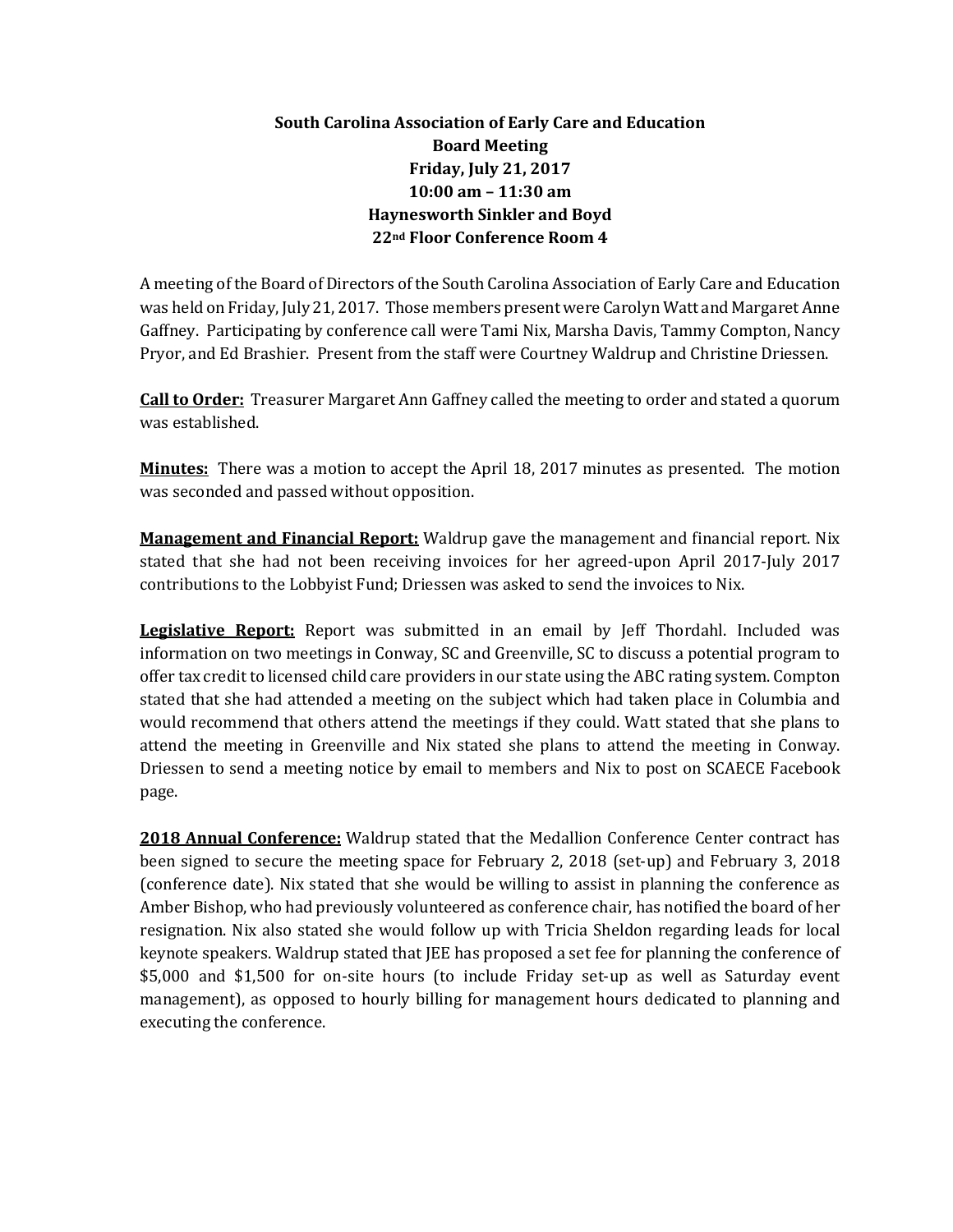## **South Carolina Association of Early Care and Education Board Meeting Friday, July 21, 2017 10:00 am – 11:30 am Haynesworth Sinkler and Boyd 22nd Floor Conference Room 4**

A meeting of the Board of Directors of the South Carolina Association of Early Care and Education was held on Friday, July 21, 2017. Those members present were Carolyn Watt and Margaret Anne Gaffney. Participating by conference call were Tami Nix, Marsha Davis, Tammy Compton, Nancy Pryor, and Ed Brashier. Present from the staff were Courtney Waldrup and Christine Driessen.

**Call to Order:** Treasurer Margaret Ann Gaffney called the meeting to order and stated a quorum was established.

**Minutes:** There was a motion to accept the April 18, 2017 minutes as presented. The motion was seconded and passed without opposition.

**Management and Financial Report:** Waldrup gave the management and financial report. Nix stated that she had not been receiving invoices for her agreed-upon April 2017-July 2017 contributions to the Lobbyist Fund; Driessen was asked to send the invoices to Nix.

**Legislative Report:** Report was submitted in an email by Jeff Thordahl. Included was information on two meetings in Conway, SC and Greenville, SC to discuss a potential program to offer tax credit to licensed child care providers in our state using the ABC rating system. Compton stated that she had attended a meeting on the subject which had taken place in Columbia and would recommend that others attend the meetings if they could. Watt stated that she plans to attend the meeting in Greenville and Nix stated she plans to attend the meeting in Conway. Driessen to send a meeting notice by email to members and Nix to post on SCAECE Facebook page.

**2018 Annual Conference:** Waldrup stated that the Medallion Conference Center contract has been signed to secure the meeting space for February 2, 2018 (set-up) and February 3, 2018 (conference date). Nix stated that she would be willing to assist in planning the conference as Amber Bishop, who had previously volunteered as conference chair, has notified the board of her resignation. Nix also stated she would follow up with Tricia Sheldon regarding leads for local keynote speakers. Waldrup stated that JEE has proposed a set fee for planning the conference of \$5,000 and \$1,500 for on-site hours (to include Friday set-up as well as Saturday event management), as opposed to hourly billing for management hours dedicated to planning and executing the conference.